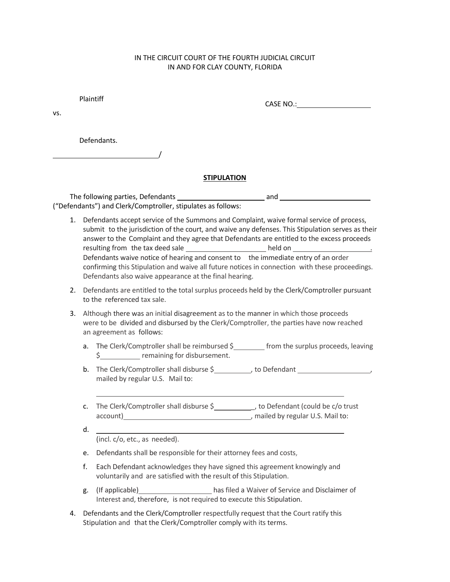## IN THE CIRCUIT COURT OF THE FOURTH JUDICIAL CIRCUIT IN AND FOR CLAY COUNTY, FLORIDA

Plaintiff

CASE NO.:

vs.

Defendants.

/

## **STIPULATION**

The following parties, Defendants and ("Defendants") and Clerk/Comptroller, stipulates as follows:

- 1. Defendants accept service of the Summons and Complaint, waive formal service of process, submit to the jurisdiction of the court, and waive any defenses. This Stipulation serves as their answer to the Complaint and they agree that Defendants are entitled to the excess proceeds resulting from the tax deed sale \_\_\_\_\_\_\_\_\_\_\_\_\_\_\_\_\_\_\_\_\_\_\_\_held on \_\_\_\_\_\_\_\_ Defendants waive notice of hearing and consent to the immediate entry of an order confirming this Stipulation and waive all future notices in connection with these proceedings. Defendants also waive appearance at the final hearing.
- 2. Defendants are entitled to the total surplus proceeds held by the Clerk/Comptroller pursuant to the referenced tax sale.
- 3. Although there was an initial disagreement as to the manner in which those proceeds were to be divided and disbursed by the Clerk/Comptroller, the parties have now reached an agreement as follows:
	- a. The Clerk/Comptroller shall be reimbursed  $$$  from the surplus proceeds, leaving \$ remaining for disbursement.
	- b. The Clerk/Comptroller shall disburse \$<br>  $\qquad \qquad$  to Defendant  $\qquad \qquad$ mailed by regular U.S. Mail to:
	- c. The Clerk/Comptroller shall disburse \$\_\_\_\_\_\_\_\_\_\_\_\_, to Defendant (could be c/o trust account) , mailed by regular U.S. Mail to:

L

(incl. c/o, etc., as needed).

d.

- e. Defendants shall be responsible for their attorney fees and costs,
- f. Each Defendant acknowledges they have signed this agreement knowingly and voluntarily and are satisfied with the result of this Stipulation.
- g. (If applicable) has filed a Waiver of Service and Disclaimer of Interest and, therefore, is not required to execute this Stipulation.
- 4. Defendants and the Clerk/Comptroller respectfully request that the Court ratify this Stipulation and that the Clerk/Comptroller comply with its terms.